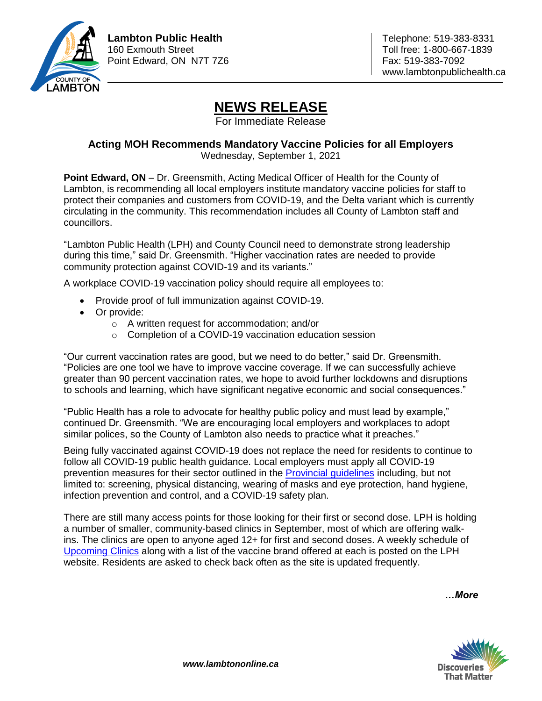

## **NEWS RELEASE**

For Immediate Release

## **Acting MOH Recommends Mandatory Vaccine Policies for all Employers**

Wednesday, September 1, 2021

**Point Edward, ON** – Dr. Greensmith, Acting Medical Officer of Health for the County of Lambton, is recommending all local employers institute mandatory vaccine policies for staff to protect their companies and customers from COVID-19, and the Delta variant which is currently circulating in the community. This recommendation includes all County of Lambton staff and councillors.

"Lambton Public Health (LPH) and County Council need to demonstrate strong leadership during this time," said Dr. Greensmith. "Higher vaccination rates are needed to provide community protection against COVID-19 and its variants."

A workplace COVID-19 vaccination policy should require all employees to:

- Provide proof of full immunization against COVID-19.
- Or provide:
	- o A written request for accommodation; and/or
	- o Completion of a COVID-19 vaccination education session

"Our current vaccination rates are good, but we need to do better," said Dr. Greensmith. "Policies are one tool we have to improve vaccine coverage. If we can successfully achieve greater than 90 percent vaccination rates, we hope to avoid further lockdowns and disruptions to schools and learning, which have significant negative economic and social consequences."

"Public Health has a role to advocate for healthy public policy and must lead by example," continued Dr. Greensmith. "We are encouraging local employers and workplaces to adopt similar polices, so the County of Lambton also needs to practice what it preaches."

Being fully vaccinated against COVID-19 does not replace the need for residents to continue to follow all COVID-19 public health guidance. Local employers must apply all COVID-19 prevention measures for their sector outlined in the [Provincial guidelines](https://lambtonpublichealth.ca/2019-novel-coronavirus/workplaces/) including, but not limited to: screening, physical distancing, wearing of masks and eye protection, hand hygiene, infection prevention and control, and a COVID-19 safety plan.

There are still many access points for those looking for their first or second dose. LPH is holding a number of smaller, community-based clinics in September, most of which are offering walkins. The clinics are open to anyone aged 12+ for first and second doses. A weekly schedule of [Upcoming Clinics](https://lambtonpublichealth.ca/2019-novel-coronavirus/covid-19-vaccines/) along with a list of the vaccine brand offered at each is posted on the LPH website. Residents are asked to check back often as the site is updated frequently.

*…More*